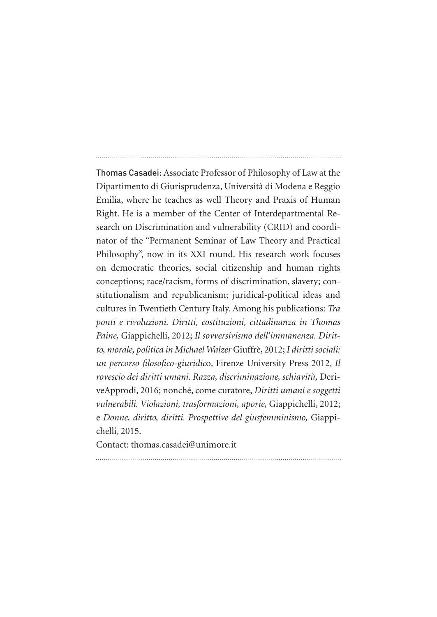Thomas Casadei: Associate Professor of Philosophy of Law at the Dipartimento di Giurisprudenza, Università di Modena e Reggio Emilia, where he teaches as well Theory and Praxis of Human Right. He is a member of the Center of Interdepartmental Research on Discrimination and vulnerability (CRID) and coordinator of the "Permanent Seminar of Law Theory and Practical Philosophy", now in its XXI round. His research work focuses on democratic theories, social citizenship and human rights conceptions; race/racism, forms of discrimination, slavery; constitutionalism and republicanism; juridical-political ideas and cultures in Twentieth Century Italy. Among his publications: *Tra ponti e rivoluzioni. Diritti, costituzioni, cittadinanza in Thomas Paine,* Giappichelli, 2012; *Il sovversivismo dell'immanenza. Diritto, morale, politica in Michael Walzer* Giuffrè, 2012; *I diritti sociali: un percorso filosofico-giuridic*o, Firenze University Press 2012, *Il rovescio dei diritti umani. Razza, discriminazione, schiavitù,* DeriveApprodi, 2016; nonché, come curatore, *Diritti umani e soggetti vulnerabili. Violazioni, trasformazioni, aporie,* Giappichelli, 2012; e *Donne, diritto, diritti. Prospettive del giusfemminismo,* Giappichelli, 2015.

Contact: thomas.casadei@unimore.it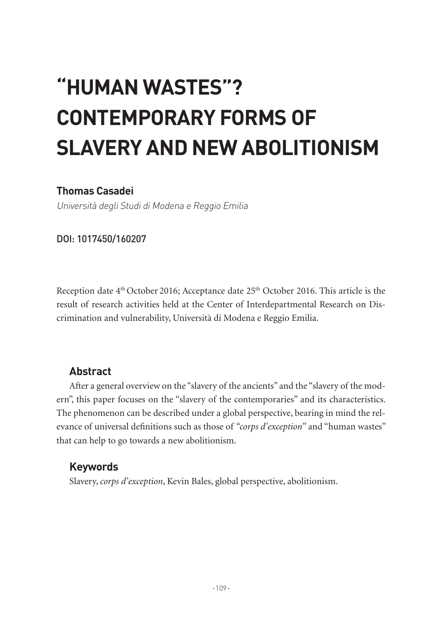# **"HUMAN WASTES"? CONTEMPORARY FORMS OF SLAVERY AND NEW ABOLITIONISM**

## **Thomas Casadei**

Università degli Studi di Modena e Reggio Emilia

DOI: 1017450/160207

Reception date 4<sup>th</sup> October 2016; Acceptance date 25<sup>th</sup> October 2016. This article is the result of research activities held at the Center of Interdepartmental Research on Discrimination and vulnerability, Università di Modena e Reggio Emilia.

## **Abstract**

After a general overview on the "slavery of the ancients" and the "slavery of the modern", this paper focuses on the "slavery of the contemporaries" and its characteristics. The phenomenon can be described under a global perspective, bearing in mind the relevance of universal definitions such as those of *"corps d'exception"* and "human wastes" that can help to go towards a new abolitionism.

## **Keywords**

Slavery, *corps d'exception*, Kevin Bales, global perspective, abolitionism.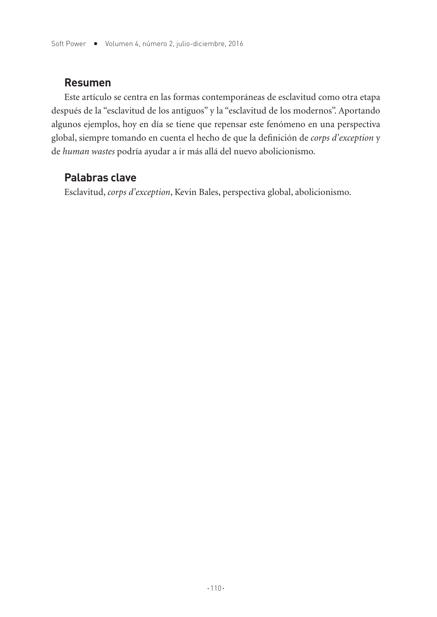#### **Resumen**

Este artículo se centra en las formas contemporáneas de esclavitud como otra etapa después de la "esclavitud de los antiguos" y la "esclavitud de los modernos". Aportando algunos ejemplos, hoy en día se tiene que repensar este fenómeno en una perspectiva global, siempre tomando en cuenta el hecho de que la definición de *corps d'exception* y de *human wastes* podría ayudar a ir más allá del nuevo abolicionismo.

## **Palabras clave**

Esclavitud, *corps d'exception*, Kevin Bales, perspectiva global, abolicionismo.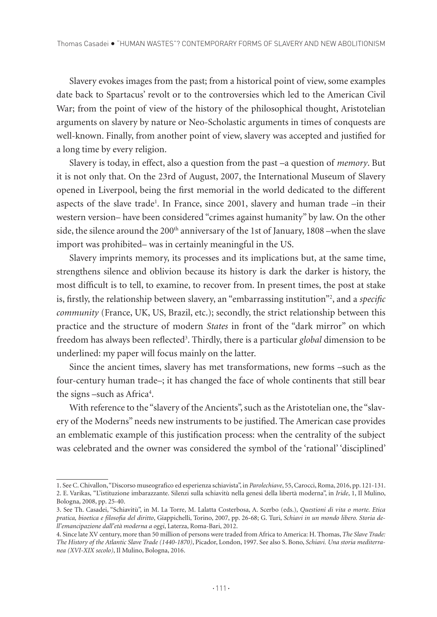Slavery evokes images from the past; from a historical point of view, some examples date back to Spartacus' revolt or to the controversies which led to the American Civil War; from the point of view of the history of the philosophical thought, Aristotelian arguments on slavery by nature or Neo-Scholastic arguments in times of conquests are well-known. Finally, from another point of view, slavery was accepted and justified for a long time by every religion.

Slavery is today, in effect, also a question from the past –a question of *memory*. But it is not only that. On the 23rd of August, 2007, the International Museum of Slavery opened in Liverpool, being the first memorial in the world dedicated to the different aspects of the slave trade<sup>1</sup>. In France, since 2001, slavery and human trade –in their western version– have been considered "crimes against humanity" by law. On the other side, the silence around the 200<sup>th</sup> anniversary of the 1st of January, 1808 –when the slave import was prohibited– was in certainly meaningful in the US.

Slavery imprints memory, its processes and its implications but, at the same time, strengthens silence and oblivion because its history is dark the darker is history, the most difficult is to tell, to examine, to recover from. In present times, the post at stake is, firstly, the relationship between slavery, an "embarrassing institution"2 , and a *specific community* (France, UK, US, Brazil, etc.); secondly, the strict relationship between this practice and the structure of modern *States* in front of the "dark mirror" on which freedom has always been reflected3 . Thirdly, there is a particular *global* dimension to be underlined: my paper will focus mainly on the latter.

Since the ancient times, slavery has met transformations, new forms –such as the four-century human trade–; it has changed the face of whole continents that still bear the signs -such as Africa<sup>4</sup>.

With reference to the "slavery of the Ancients", such as the Aristotelian one, the "slavery of the Moderns" needs new instruments to be justified. The American case provides an emblematic example of this justification process: when the centrality of the subject was celebrated and the owner was considered the symbol of the 'rational' 'disciplined'

<sup>1.</sup> See C. Chivallon, "Discorso museografico ed esperienza schiavista", in *Parolechiave*, 55, Carocci, Roma, 2016, pp. 121-131. 2. E. Varikas, "L'istituzione imbarazzante. Silenzi sulla schiavitù nella genesi della libertà moderna", in *Iride*, 1, Il Mulino, Bologna, 2008, pp. 25-40.

<sup>3.</sup> See Th. Casadei, "Schiavitù", in M. La Torre, M. Lalatta Costerbosa, A. Scerbo (eds.), *Questioni di vita o morte. Etica pratica, bioetica e filosofia del diritto*, Giappichelli, Torino, 2007, pp. 26-68; G. Turi, *Schiavi in un mondo libero. Storia dell'emancipazione dall'età moderna a oggi*, Laterza, Roma-Bari, 2012.

<sup>4.</sup> Since late XV century, more than 50 million of persons were traded from Africa to America: H. Thomas, *The Slave Trade: The History of the Atlantic Slave Trade (1440-1870)*, Picador, London, 1997. See also S. Bono, *Schiavi. Una storia mediterranea (XVI-XIX secolo)*, Il Mulino, Bologna, 2016.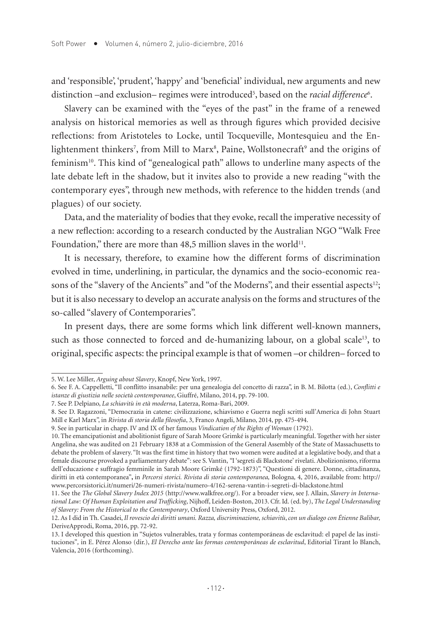and 'responsible', 'prudent', 'happy' and 'beneficial' individual, new arguments and new distinction –and exclusion– regimes were introduced<sup>5</sup>, based on the *racial difference*<sup>6</sup>.

Slavery can be examined with the "eyes of the past" in the frame of a renewed analysis on historical memories as well as through figures which provided decisive reflections: from Aristoteles to Locke, until Tocqueville, Montesquieu and the Enlightenment thinkers<sup>7</sup>, from Mill to Marx<sup>8</sup>, Paine, Wollstonecraft<sup>9</sup> and the origins of feminism10. This kind of "genealogical path" allows to underline many aspects of the late debate left in the shadow, but it invites also to provide a new reading "with the contemporary eyes", through new methods, with reference to the hidden trends (and plagues) of our society.

Data, and the materiality of bodies that they evoke, recall the imperative necessity of a new reflection: according to a research conducted by the Australian NGO "Walk Free Foundation," there are more than 48,5 million slaves in the world<sup>11</sup>.

It is necessary, therefore, to examine how the different forms of discrimination evolved in time, underlining, in particular, the dynamics and the socio-economic reasons of the "slavery of the Ancients" and "of the Moderns", and their essential aspects<sup>12</sup>; but it is also necessary to develop an accurate analysis on the forms and structures of the so-called "slavery of Contemporaries".

In present days, there are some forms which link different well-known manners, such as those connected to forced and de-humanizing labour, on a global scale<sup>13</sup>, to original, specific aspects: the principal example is that of women –or children– forced to

<sup>5.</sup> W. Lee Miller, *Arguing about Slavery*, Knopf, New York, 1997.

<sup>6.</sup> See F. A. Cappelletti, "Il conflitto insanabile: per una genealogia del concetto di razza", in B. M. Bilotta (ed.), *Conflitti e istanze di giustizia nelle società contemporanee*, Giuffré, Milano, 2014, pp. 79-100.

<sup>7.</sup> See P. Delpiano, *La schiavitù in età moderna*, Laterza, Roma-Bari, 2009.

<sup>8.</sup> See D. Ragazzoni, "Democrazia in catene: civilizzazione, schiavismo e Guerra negli scritti sull'America di John Stuart Mill e Karl Marx", in *Rivista di storia della filosofia*, 3, Franco Angeli, Milano, 2014, pp. 475-494.

<sup>9.</sup> See in particular in chapp. IV and IX of her famous *Vindication of the Rights of Woman* (1792).

<sup>10.</sup> The emancipationist and abolitionist figure of Sarah Moore Grimké is particularly meaningful. Together with her sister Angelina, she was audited on 21 February 1838 at a Commission of the General Assembly of the State of Massachusetts to debate the problem of slavery. "It was the first time in history that two women were audited at a legislative body, and that a female discourse provoked a parliamentary debate": see S. Vantin, *"*I 'segreti di Blackstone' rivelati. Abolizionismo, riforma dell'educazione e suffragio femminile in Sarah Moore Grimké (1792-1873)", "Questioni di genere. Donne, cittadinanza, diritti in età contemporanea"**,** in *Percorsi storici. Rivista di storia contemporanea,* Bologna*,* 4, 2016, available from: http:// www.percorsistorici.it/numeri/26-numeri-rivista/numero-4/162-serena-vantin-i-segreti-di-blackstone.html

<sup>11.</sup> See the *The Global Slavery Index 2015* (http://www.walkfree.org/). For a broader view, see J. Allain, *Slavery in International Law: Of Human Exploitation and Trafficking*, Nijhoff, Leiden-Boston, 2013. Cfr. Id. (ed. by), *The Legal Understanding of Slavery: From the Historical to the Contemporary*, Oxford University Press, Oxford, 2012.

<sup>12.</sup> As I did in Th. Casadei, *Il rovescio dei diritti umani. Razza, discriminazione, schiavitù*, *con un dialogo con Étienne Balibar,*  DeriveApprodi, Roma, 2016, pp. 72-92.

<sup>13.</sup> I developed this question in "Sujetos vulnerables, trata y formas contemporáneas de esclavitud: el papel de las instituciones"*,* in E. Pérez Alonso (dir.), *El Derecho ante las formas contemporáneas de esclavitud*, Editorial Tirant lo Blanch, Valencia, 2016 (forthcoming).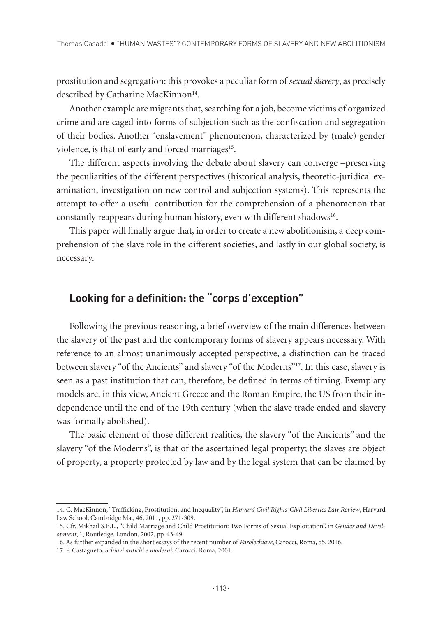prostitution and segregation: this provokes a peculiar form of *sexual slavery*, as precisely described by Catharine MacKinnon<sup>14</sup>.

Another example are migrants that, searching for a job, become victims of organized crime and are caged into forms of subjection such as the confiscation and segregation of their bodies. Another "enslavement" phenomenon, characterized by (male) gender violence, is that of early and forced marriages<sup>15</sup>.

The different aspects involving the debate about slavery can converge –preserving the peculiarities of the different perspectives (historical analysis, theoretic-juridical examination, investigation on new control and subjection systems). This represents the attempt to offer a useful contribution for the comprehension of a phenomenon that constantly reappears during human history, even with different shadows<sup>16</sup>.

This paper will finally argue that, in order to create a new abolitionism, a deep comprehension of the slave role in the different societies, and lastly in our global society, is necessary.

## **Looking for a definition: the "corps d'exception"**

Following the previous reasoning, a brief overview of the main differences between the slavery of the past and the contemporary forms of slavery appears necessary. With reference to an almost unanimously accepted perspective, a distinction can be traced between slavery "of the Ancients" and slavery "of the Moderns"17. In this case, slavery is seen as a past institution that can, therefore, be defined in terms of timing. Exemplary models are, in this view, Ancient Greece and the Roman Empire, the US from their independence until the end of the 19th century (when the slave trade ended and slavery was formally abolished).

The basic element of those different realities, the slavery "of the Ancients" and the slavery "of the Moderns", is that of the ascertained legal property; the slaves are object of property, a property protected by law and by the legal system that can be claimed by

<sup>14.</sup> C. MacKinnon, "Trafficking, Prostitution, and Inequality", in *Harvard Civil Rights-Civil Liberties Law Review*, Harvard Law School, Cambridge Ma., 46, 2011, pp. 271-309.

<sup>15.</sup> Cfr. Mikhail S.B.L., "Child Marriage and Child Prostitution: Two Forms of Sexual Exploitation", in *Gender and Development*, 1, Routledge, London, 2002, pp. 43-49.

<sup>16.</sup> As further expanded in the short essays of the recent number of *Parolechiave*, Carocci, Roma, 55, 2016.

<sup>17.</sup> P. Castagneto, *Schiavi antichi e moderni*, Carocci, Roma, 2001.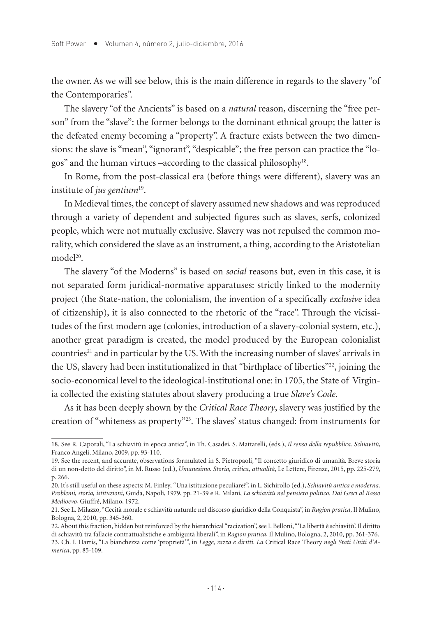the owner. As we will see below, this is the main difference in regards to the slavery "of the Contemporaries".

The slavery "of the Ancients" is based on a *natural* reason, discerning the "free person" from the "slave": the former belongs to the dominant ethnical group; the latter is the defeated enemy becoming a "property". A fracture exists between the two dimensions: the slave is "mean", "ignorant", "despicable"; the free person can practice the "logos" and the human virtues –according to the classical philosophy18.

In Rome, from the post-classical era (before things were different), slavery was an institute of *jus gentium*19.

In Medieval times, the concept of slavery assumed new shadows and was reproduced through a variety of dependent and subjected figures such as slaves, serfs, colonized people, which were not mutually exclusive. Slavery was not repulsed the common morality, which considered the slave as an instrument, a thing, according to the Aristotelian model<sup>20</sup>

The slavery "of the Moderns" is based on *social* reasons but, even in this case, it is not separated form juridical-normative apparatuses: strictly linked to the modernity project (the State-nation, the colonialism, the invention of a specifically *exclusive* idea of citizenship), it is also connected to the rhetoric of the "race". Through the vicissitudes of the first modern age (colonies, introduction of a slavery-colonial system, etc.), another great paradigm is created, the model produced by the European colonialist countries<sup>21</sup> and in particular by the US. With the increasing number of slaves' arrivals in the US, slavery had been institutionalized in that "birthplace of liberties"<sup>22</sup>, joining the socio-economical level to the ideological-institutional one: in 1705, the State of Virginia collected the existing statutes about slavery producing a true *Slave's Code*.

As it has been deeply shown by the *Critical Race Theory*, slavery was justified by the creation of "whiteness as property"23. The slaves' status changed: from instruments for

<sup>18.</sup> See R. Caporali, "La schiavitù in epoca antica", in Th. Casadei, S. Mattarelli, (eds.), *Il senso della repubblica. Schiavitù*, Franco Angeli, Milano, 2009, pp. 93-110.

<sup>19.</sup> See the recent, and accurate, observations formulated in S. Pietropaoli, "Il concetto giuridico di umanità. Breve storia di un non-detto del diritto", in M. Russo (ed.), *Umanesimo. Storia, critica, attualità*, Le Lettere, Firenze, 2015, pp. 225-279, p. 266.

<sup>20.</sup> It's still useful on these aspects: M. Finley*,* "Una istituzione peculiare?", in L. Sichirollo (ed.), *Schiavitù antica e moderna. Problemi, storia, istituzioni*, Guida, Napoli, 1979, pp. 21-39 e R. Milani, *La schiavitù nel pensiero politico. Dai Greci al Basso Medioevo*, Giuffré, Milano, 1972.

<sup>21.</sup> See L. Milazzo, "Cecità morale e schiavitù naturale nel discorso giuridico della Conquista", in *Ragion pratica*, Il Mulino, Bologna, 2, 2010, pp. 345-360.

<sup>22.</sup> About this fraction, hidden but reinforced by the hierarchical "racization", see I. Belloni, "'La libertà è schiavitù'. Il diritto di schiavitù tra fallacie contrattualistiche e ambiguità liberali", in *Ragion pratica*, Il Mulino, Bologna, 2, 2010, pp. 361-376. 23. Ch. I. Harris, "La bianchezza come 'proprietà'", in *Legge, razza e diritti. La* Critical Race Theory *negli Stati Uniti d'America*, pp. 85-109.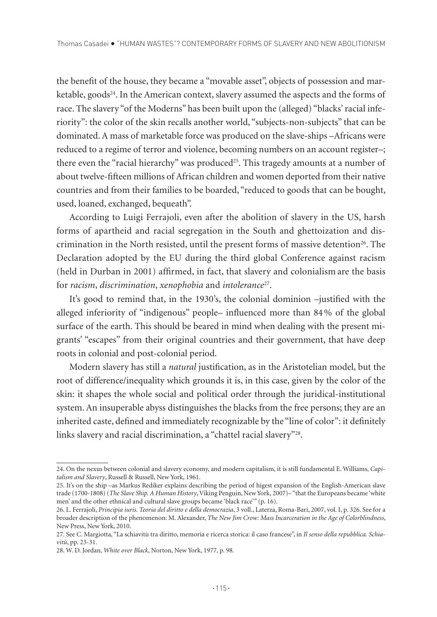the benefit of the house, they became a "movable asset", objects of possession and marketable, goods<sup>24</sup>. In the American context, slavery assumed the aspects and the forms of race. The slavery "of the Moderns" has been built upon the (alleged) "blacks' racial inferiority": the color of the skin recalls another world, "subjects-non-subjects" that can be dominated. A mass of marketable force was produced on the slave-ships –Africans were reduced to a regime of terror and violence, becoming numbers on an account register–; there even the "racial hierarchy" was produced<sup>25</sup>. This tragedy amounts at a number of about twelve-fifteen millions of African children and women deported from their native countries and from their families to be boarded, "reduced to goods that can be bought, used, loaned, exchanged, bequeath".

According to Luigi Ferrajoli, even after the abolition of slavery in the US, harsh forms of apartheid and racial segregation in the South and ghettoization and discrimination in the North resisted, until the present forms of massive detention<sup>26</sup>. The Declaration adopted by the EU during the third global Conference against racism (held in Durban in 2001) affirmed, in fact, that slavery and colonialism are the basis for *racism*, *discrimination*, *xenophobia* and *intolerance*27.

It's good to remind that, in the 1930's, the colonial dominion –justified with the alleged inferiority of "indigenous" people– influenced more than 84% of the global surface of the earth. This should be beared in mind when dealing with the present migrants' "escapes" from their original countries and their government, that have deep roots in colonial and post-colonial period.

Modern slavery has still a *natural* justification, as in the Aristotelian model, but the root of difference/inequality which grounds it is, in this case, given by the color of the skin: it shapes the whole social and political order through the juridical-institutional system. An insuperable abyss distinguishes the blacks from the free persons; they are an inherited caste, defined and immediately recognizable by the "line of color": it definitely links slavery and racial discrimination, a "chattel racial slavery"28.

<sup>24.</sup> On the nexus between colonial and slavery economy, and modern capitalism, it is still fundamental E. Williams, *Capitalism and Slavery*, Russell & Russell, New York, 1961.

<sup>25.</sup> It's on the ship –as Markus Rediker explains describing the period of higest expansion of the English-American slave trade (1700-1808) (*The Slave Ship. A Human History*, Viking Penguin, New York, 2007)– "that the Europeans became 'white men' and the other ethnical and cultural slave groups became 'black race'" (p. 16).

<sup>26.</sup> L. Ferrajoli, *Principia iuris*. *Teoria del diritto e della democrazia*, 3 voll., Laterza, Roma-Bari, 2007, vol. I, p. 326. See for a broader description of the phenomenon: M. Alexander, *The New Jim Crow: Mass Incarceration in the Age of Colorblindness*, New Press, New York, 2010.

<sup>27.</sup> See C. Margiotta, "La schiavitù tra diritto, memoria e ricerca storica: il caso francese", in *Il senso della repubblica. Schiavitù*, pp. 23-31.

<sup>28.</sup> W. D. Jordan, *White over Black*, Norton, New York, 1977, p. 98*.*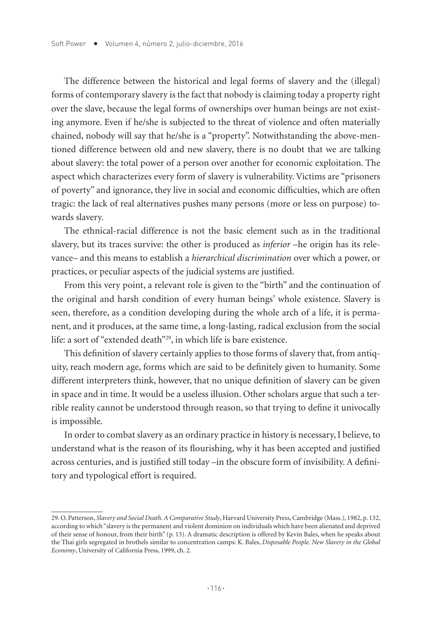The difference between the historical and legal forms of slavery and the (illegal) forms of contemporary slavery is the fact that nobody is claiming today a property right over the slave, because the legal forms of ownerships over human beings are not existing anymore. Even if he/she is subjected to the threat of violence and often materially chained, nobody will say that he/she is a "property". Notwithstanding the above-mentioned difference between old and new slavery, there is no doubt that we are talking about slavery: the total power of a person over another for economic exploitation. The aspect which characterizes every form of slavery is vulnerability. Victims are "prisoners of poverty" and ignorance, they live in social and economic difficulties, which are often tragic: the lack of real alternatives pushes many persons (more or less on purpose) towards slavery.

The ethnical-racial difference is not the basic element such as in the traditional slavery, but its traces survive: the other is produced as *inferior* –he origin has its relevance– and this means to establish a *hierarchical discrimination* over which a power, or practices, or peculiar aspects of the judicial systems are justified.

From this very point, a relevant role is given to the "birth" and the continuation of the original and harsh condition of every human beings' whole existence. Slavery is seen, therefore, as a condition developing during the whole arch of a life, it is permanent, and it produces, at the same time, a long-lasting, radical exclusion from the social life: a sort of "extended death"29, in which life is bare existence.

This definition of slavery certainly applies to those forms of slavery that, from antiquity, reach modern age, forms which are said to be definitely given to humanity. Some different interpreters think, however, that no unique definition of slavery can be given in space and in time. It would be a useless illusion. Other scholars argue that such a terrible reality cannot be understood through reason, so that trying to define it univocally is impossible.

In order to combat slavery as an ordinary practice in history is necessary, I believe, to understand what is the reason of its flourishing, why it has been accepted and justified across centuries, and is justified still today –in the obscure form of invisibility. A definitory and typological effort is required.

<sup>29.</sup> O. Patterson, *Slavery and Social Death. A Comparative Study*, Harvard University Press, Cambridge (Mass.), 1982, p. 132, according to which "slavery is the permanent and violent dominion on individuals which have been alienated and deprived of their sense of honour, from their birth" (p. 13). A dramatic description is offered by Kevin Bales, when he speaks about the Thai girls segregated in brothels similar to concentration camps: K. Bales, *Disposable People. New Slavery in the Global Economy*, University of California Press, 1999, ch. 2.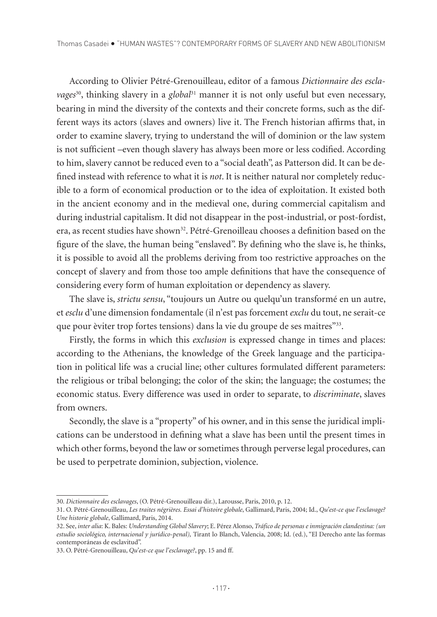According to Olivier Pétré-Grenouilleau, editor of a famous *Dictionnaire des escla*vages<sup>30</sup>, thinking slavery in a *global*<sup>31</sup> manner it is not only useful but even necessary, bearing in mind the diversity of the contexts and their concrete forms, such as the different ways its actors (slaves and owners) live it. The French historian affirms that, in order to examine slavery, trying to understand the will of dominion or the law system is not sufficient –even though slavery has always been more or less codified. According to him, slavery cannot be reduced even to a "social death", as Patterson did. It can be defined instead with reference to what it is *not*. It is neither natural nor completely reducible to a form of economical production or to the idea of exploitation. It existed both in the ancient economy and in the medieval one, during commercial capitalism and during industrial capitalism. It did not disappear in the post-industrial, or post-fordist, era, as recent studies have shown<sup>32</sup>. Pétré-Grenoilleau chooses a definition based on the figure of the slave, the human being "enslaved". By defining who the slave is, he thinks, it is possible to avoid all the problems deriving from too restrictive approaches on the concept of slavery and from those too ample definitions that have the consequence of considering every form of human exploitation or dependency as slavery.

The slave is, *strictu sensu*, "toujours un Autre ou quelqu'un transformé en un autre, et *esclu* d'une dimension fondamentale (il n'est pas forcement *exclu* du tout, ne serait-ce que pour èviter trop fortes tensions) dans la vie du groupe de ses maitres"33.

Firstly, the forms in which this *exclusion* is expressed change in times and places: according to the Athenians, the knowledge of the Greek language and the participation in political life was a crucial line; other cultures formulated different parameters: the religious or tribal belonging; the color of the skin; the language; the costumes; the economic status. Every difference was used in order to separate, to *discriminate*, slaves from owners.

Secondly, the slave is a "property" of his owner, and in this sense the juridical implications can be understood in defining what a slave has been until the present times in which other forms, beyond the law or sometimes through perverse legal procedures, can be used to perpetrate dominion, subjection, violence.

<sup>30</sup>*. Dictionnaire des esclavages*, (O. Pétré-Grenouilleau dir.), Larousse, Paris, 2010, p. 12.

<sup>31.</sup> O. Pétré-Grenouilleau, *Les traites négrières. Essai d'histoire globale*, Gallimard, Paris, 2004; Id., *Qu'est-ce que l'esclavage? Une historie globale*, Gallimard, Paris, 2014.

<sup>32.</sup> See, *inter alia*: K. Bales: *Understanding Global Slavery*; E. Pérez Alonso, *Tráfico de personas e inmigración clandestina: (un estudio sociológico, internacional y jurídico-penal),* Tirant lo Blanch, Valencia, 2008; Id. (ed.), "El Derecho ante las formas contemporáneas de esclavitud".

<sup>33.</sup> O. Pétré-Grenouilleau, *Qu'est-ce que l'esclavage?*, pp. 15 and ff.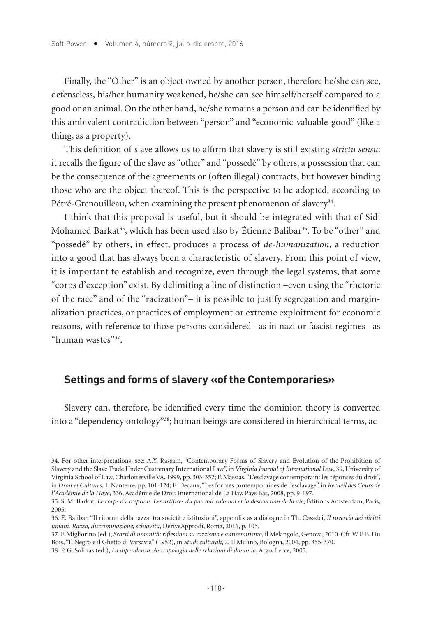Finally, the "Other" is an object owned by another person, therefore he/she can see, defenseless, his/her humanity weakened, he/she can see himself/herself compared to a good or an animal. On the other hand, he/she remains a person and can be identified by this ambivalent contradiction between "person" and "economic-valuable-good" (like a thing, as a property).

This definition of slave allows us to affirm that slavery is still existing *strictu sensu*: it recalls the figure of the slave as "other" and "possedé" by others, a possession that can be the consequence of the agreements or (often illegal) contracts, but however binding those who are the object thereof. This is the perspective to be adopted, according to Pétré-Grenouilleau, when examining the present phenomenon of slavery<sup>34</sup>.

I think that this proposal is useful, but it should be integrated with that of Sidi Mohamed Barkat<sup>35</sup>, which has been used also by Étienne Balibar<sup>36</sup>. To be "other" and "possedé" by others, in effect, produces a process of *de-humanization*, a reduction into a good that has always been a characteristic of slavery. From this point of view, it is important to establish and recognize, even through the legal systems, that some "corps d'exception" exist. By delimiting a line of distinction –even using the "rhetoric of the race" and of the "racization"– it is possible to justify segregation and marginalization practices, or practices of employment or extreme exploitment for economic reasons, with reference to those persons considered –as in nazi or fascist regimes– as "human wastes"37.

### **Settings and forms of slavery «of the Contemporaries»**

Slavery can, therefore, be identified every time the dominion theory is converted into a "dependency ontology"38; human beings are considered in hierarchical terms, ac-

<sup>34.</sup> For other interpretations, see: A.Y. Rassam, "Contemporary Forms of Slavery and Evolution of the Prohibition of Slavery and the Slave Trade Under Customary International Law", in *Virginia Journal of International Law*, 39, University of Virginia School of Law, Charlottesville VA, 1999, pp. 303-352; F. Massias, "L'esclavage contemporain: les réponses du droit", in *Droit et Cultures*, 1, Nanterre, pp. 101-124; E. Decaux, "Les formes contemporaines de l'esclavage", in *Recueil des Cours de l'Académie de la Haye*, 336, Académie de Droit International de La Hay, Pays Bas, 2008, pp. 9-197.

<sup>35.</sup> S. M. Barkat, *Le corps d'exception: Les artifices du pouvoir colonial et la destruction de la vie*, Éditions Amsterdam, Paris, 2005.

<sup>36.</sup> É. Balibar, "Il ritorno della razza: tra società e istituzioni", appendix as a dialogue in Th. Casadei, *Il rovescio dei diritti umani. Razza, discriminazione, schiavitù*, DeriveApprodi, Roma, 2016, p. 105.

<sup>37.</sup> F. Migliorino (ed.), *Scarti di umanità: riflessioni su razzismo e antisemitismo*, il Melangolo, Genova, 2010. Cfr. W.E.B. Du Bois, "Il Negro e il Ghetto di Varsavia" (1952), in *Studi culturali*, 2, Il Mulino, Bologna, 2004, pp. 355-370.

<sup>38.</sup> P. G. Solinas (ed.), *La dipendenza. Antropologia delle relazioni di dominio*, Argo, Lecce, 2005.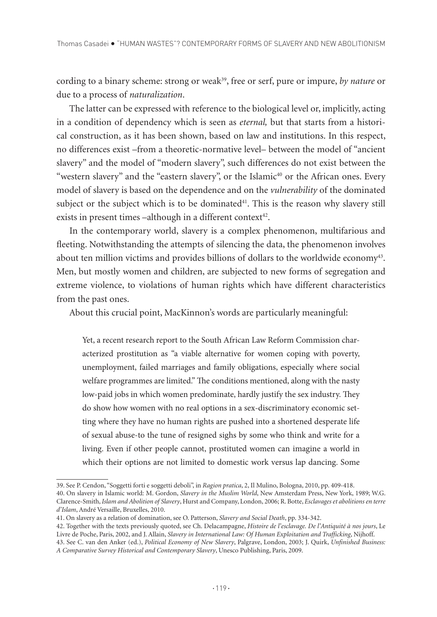cording to a binary scheme: strong or weak<sup>39</sup>, free or serf, pure or impure, *by nature* or due to a process of *naturalization*.

The latter can be expressed with reference to the biological level or, implicitly, acting in a condition of dependency which is seen as *eternal,* but that starts from a historical construction, as it has been shown, based on law and institutions. In this respect, no differences exist –from a theoretic-normative level– between the model of "ancient slavery" and the model of "modern slavery", such differences do not exist between the "western slavery" and the "eastern slavery", or the Islamic<sup>40</sup> or the African ones. Every model of slavery is based on the dependence and on the *vulnerability* of the dominated subject or the subject which is to be dominated $4<sup>1</sup>$ . This is the reason why slavery still exists in present times  $-although$  in a different context<sup>42</sup>.

In the contemporary world, slavery is a complex phenomenon, multifarious and fleeting. Notwithstanding the attempts of silencing the data, the phenomenon involves about ten million victims and provides billions of dollars to the worldwide economy43. Men, but mostly women and children, are subjected to new forms of segregation and extreme violence, to violations of human rights which have different characteristics from the past ones.

About this crucial point, MacKinnon's words are particularly meaningful:

Yet, a recent research report to the South African Law Reform Commission characterized prostitution as "a viable alternative for women coping with poverty, unemployment, failed marriages and family obligations, especially where social welfare programmes are limited." The conditions mentioned, along with the nasty low-paid jobs in which women predominate, hardly justify the sex industry. They do show how women with no real options in a sex-discriminatory economic setting where they have no human rights are pushed into a shortened desperate life of sexual abuse-to the tune of resigned sighs by some who think and write for a living. Even if other people cannot, prostituted women can imagine a world in which their options are not limited to domestic work versus lap dancing. Some

<sup>39.</sup> See P. Cendon, "Soggetti forti e soggetti deboli", in *Ragion pratica*, 2, Il Mulino, Bologna, 2010, pp. 409-418.

<sup>40.</sup> On slavery in Islamic world: M. Gordon, *Slavery in the Muslim World*, New Amsterdam Press, New York, 1989; W.G. Clarence-Smith, *Islam and Abolition of Slavery*, Hurst and Company, London, 2006; R. Botte, *Esclavages et abolitions en terre d'Islam*, André Versaille, Bruxelles, 2010.

<sup>41.</sup> On slavery as a relation of domination, see O. Patterson, *Slavery and Social Death*, pp. 334-342.

<sup>42.</sup> Together with the texts previously quoted, see Ch. Delacampagne, *Histoire de l'esclavage. De l'Antiquité à nos jours*, Le Livre de Poche, Paris, 2002, and J. Allain, *Slavery in International Law: Of Human Exploitation and Trafficking*, Nijhoff. 43. See C. van den Anker (ed.), *Political Economy of New Slavery*, Palgrave, London, 2003; J. Quirk, *Unfinished Business:* 

*A Comparative Survey Historical and Contemporary Slavery*, Unesco Publishing, Paris, 2009.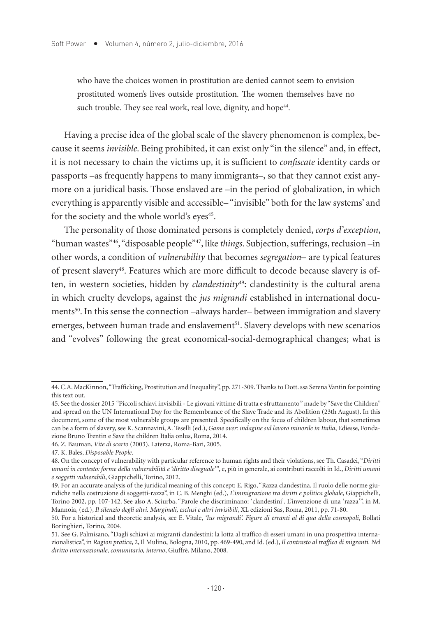who have the choices women in prostitution are denied cannot seem to envision prostituted women's lives outside prostitution. The women themselves have no such trouble. They see real work, real love, dignity, and hope<sup>44</sup>.

Having a precise idea of the global scale of the slavery phenomenon is complex, because it seems *invisible*. Being prohibited, it can exist only "in the silence" and, in effect, it is not necessary to chain the victims up, it is sufficient to *confiscate* identity cards or passports –as frequently happens to many immigrants–, so that they cannot exist anymore on a juridical basis. Those enslaved are –in the period of globalization, in which everything is apparently visible and accessible– "invisible" both for the law systems' and for the society and the whole world's eyes<sup>45</sup>.

The personality of those dominated persons is completely denied, *corps d'exception*, "human wastes"46, "disposable people"47, like *things*. Subjection, sufferings, reclusion –in other words, a condition of *vulnerability* that becomes *segregation*– are typical features of present slavery48. Features which are more difficult to decode because slavery is often, in western societies, hidden by *clandestinity<sup>49</sup>*: clandestinity is the cultural arena in which cruelty develops, against the *jus migrandi* established in international documents<sup>50</sup>. In this sense the connection –always harder– between immigration and slavery emerges, between human trade and enslavement<sup>51</sup>. Slavery develops with new scenarios and "evolves" following the great economical-social-demographical changes; what is

<sup>44.</sup> C.A. MacKinnon, "Trafficking, Prostitution and Inequality", pp. 271-309. Thanks to Dott. ssa Serena Vantin for pointing this text out.

<sup>45.</sup> See the dossier 2015 *"*Piccoli schiavi invisibili - Le giovani vittime di tratta e sfruttamento*"* made by "Save the Children" and spread on the UN International Day for the Remembrance of the Slave Trade and its Abolition (23th August). In this document, some of the most vulnerable groups are presented. Specifically on the focus of children labour, that sometimes can be a form of slavery, see K. Scannavini, A. Teselli (ed.), *Game over: indagine sul lavoro minorile in Italia*, Ediesse, Fondazione Bruno Trentin e Save the children Italia onlus, Roma, 2014.

<sup>46.</sup> Z. Bauman, *Vite di scarto* (2003), Laterza, Roma-Bari, 2005.

<sup>47.</sup> K. Bales, *Disposable People*.

<sup>48.</sup> On the concept of vulnerability with particular reference to human rights and their violations, see Th. Casadei, "*Diritti umani in contesto: forme della vulnerabilità e 'diritto diseguale'"*, e, più in generale, ai contributi raccolti in Id., *Diritti umani e soggetti vulnerabili*, Giappichelli, Torino, 2012.

<sup>49.</sup> For an accurate analysis of the juridical meaning of this concept: E. Rigo, "Razza clandestina. Il ruolo delle norme giuridiche nella costruzione di soggetti-razza", in C. B. Menghi (ed.), *L'immigrazione tra diritti e politica globale*, Giappichelli, Torino 2002, pp. 107-142. See also A. Sciurba, "Parole che discriminano: 'clandestini'. L'invenzione di una 'razza'", in M. Mannoia, (ed.), *Il silenzio degli altri. Marginali, esclusi e altri invisibili*, XL edizioni Sas, Roma, 2011, pp. 71-80.

<sup>50.</sup> For a historical and theoretic analysis, see E. Vitale, *'Ius migrandi'. Figure di erranti al di qua della cosmopoli*, Bollati Boringhieri, Torino, 2004.

<sup>51.</sup> See G. Palmisano, "Dagli schiavi ai migranti clandestini: la lotta al traffico di esseri umani in una prospettiva internazionalistica", in *Ragion pratica*, 2, Il Mulino, Bologna, 2010, pp. 469-490, and Id. (ed.), *Il contrasto al traffico di migranti. Nel diritto internazionale, comunitario, interno*, Giuffrè, Milano, 2008.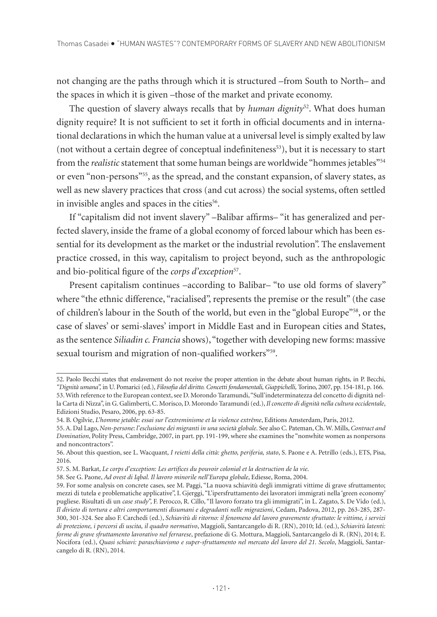not changing are the paths through which it is structured –from South to North– and the spaces in which it is given –those of the market and private economy.

The question of slavery always recalls that by *human dignity*52. What does human dignity require? It is not sufficient to set it forth in official documents and in international declarations in which the human value at a universal level is simply exalted by law (not without a certain degree of conceptual indefiniteness $53$ ), but it is necessary to start from the *realistic* statement that some human beings are worldwide "hommes jetables"54 or even "non-persons"55, as the spread, and the constant expansion, of slavery states, as well as new slavery practices that cross (and cut across) the social systems, often settled in invisible angles and spaces in the cities<sup>56</sup>.

If "capitalism did not invent slavery" –Balibar affirms– "it has generalized and perfected slavery, inside the frame of a global economy of forced labour which has been essential for its development as the market or the industrial revolution". The enslavement practice crossed, in this way, capitalism to project beyond, such as the anthropologic and bio-political figure of the *corps d'exception*57.

Present capitalism continues –according to Balibar– "to use old forms of slavery" where "the ethnic difference, "racialised", represents the premise or the result" (the case of children's labour in the South of the world, but even in the "global Europe"58, or the case of slaves' or semi-slaves' import in Middle East and in European cities and States, as the sentence *Siliadin c. Francia* shows), "together with developing new forms: massive sexual tourism and migration of non-qualified workers"<sup>59</sup>.

<sup>52.</sup> Paolo Becchi states that enslavement do not receive the proper attention in the debate about human rights, in P. Becchi, *"Dignità umana",* in U. Pomarici (ed.), *Filosofia del diritto. Concetti fondamentali, Giappichelli,* Torino, 2007, pp. 154-181, p. 166. 53. With reference to the European context, see D. Morondo Taramundi, "Sull'indeterminatezza del concetto di dignità nella Carta di Nizza", in G. Galimberti, C. Morisco, D. Morondo Taramundi (ed.), *Il concetto di dignità nella cultura occidentale*, Edizioni Studio, Pesaro, 2006, pp. 63-85.

<sup>54.</sup> B. Ogilvie, *L'homme jetable: essai sur l'extreminisme et la violence extrême*, Editions Amsterdam, Paris, 2012.

<sup>55.</sup> A. Dal Lago, *Non-persone*: *l'esclusione dei migranti in una società globale*. See also C. Pateman, Ch. W. Mills, *Contract and Domination*, Polity Press, Cambridge, 2007, in part. pp. 191-199, where she examines the "nonwhite women as nonpersons and noncontractors".

<sup>56.</sup> About this question, see L. Wacquant, *I reietti della città: ghetto, periferia, stato*, S. Paone e A. Petrillo (eds.), ETS, Pisa, 2016.

<sup>57.</sup> S. M. Barkat, *Le corps d'exception: Les artifices du pouvoir colonial et la destruction de la vie*.

<sup>58.</sup> See G. Paone, *Ad ovest di Iqbal. Il lavoro minorile nell'Europa globale*, Ediesse, Roma, 2004.

<sup>59.</sup> For some analysis on concrete cases, see M. Paggi, "La nuova schiavitù degli immigrati vittime di grave sfruttamento; mezzi di tutela e problematiche applicative", I. Gjerggi, "L'ipersfruttamento dei lavoratori immigrati nella 'green economy' pugliese. Risultati di un *case study*", F. Perocco, R. Cillo, "Il lavoro forzato tra gli immigrati", in L. Zagato, S. De Vido (ed.), *Il divieto di tortura e altri comportamenti disumani e degradanti nelle migrazioni*, Cedam, Padova, 2012, pp. 263-285, 287- 300, 301-324. See also F. Carchedi (ed.), *Schiavitù di ritorno: il fenomeno del lavoro gravemente sfruttato: le vittime, i servizi di protezione, i percorsi di uscita, il quadro normativo*, Maggioli, Santarcangelo di R. (RN), 2010; Id. (ed.), *Schiavitù latenti: forme di grave sfruttamento lavorativo nel ferrarese*, prefazione di G. Mottura, Maggioli, Santarcangelo di R. (RN), 2014; E. Nocifora (ed.), *Quasi schiavi: paraschiavismo e super-sfruttamento nel mercato del lavoro del 21. Secolo*, Maggioli, Santarcangelo di R. (RN), 2014.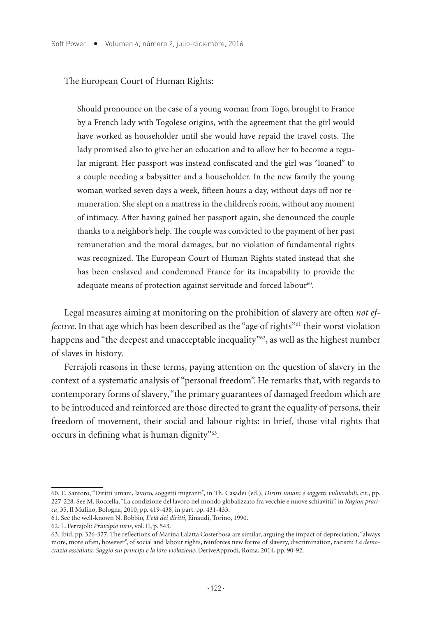#### The European Court of Human Rights:

Should pronounce on the case of a young woman from Togo, brought to France by a French lady with Togolese origins, with the agreement that the girl would have worked as householder until she would have repaid the travel costs. The lady promised also to give her an education and to allow her to become a regular migrant. Her passport was instead confiscated and the girl was "loaned" to a couple needing a babysitter and a householder. In the new family the young woman worked seven days a week, fifteen hours a day, without days off nor remuneration. She slept on a mattress in the children's room, without any moment of intimacy. After having gained her passport again, she denounced the couple thanks to a neighbor's help. The couple was convicted to the payment of her past remuneration and the moral damages, but no violation of fundamental rights was recognized. The European Court of Human Rights stated instead that she has been enslaved and condemned France for its incapability to provide the adequate means of protection against servitude and forced labour<sup>60</sup>.

Legal measures aiming at monitoring on the prohibition of slavery are often *not effective*. In that age which has been described as the "age of rights"<sup>61</sup> their worst violation happens and "the deepest and unacceptable inequality"<sup>62</sup>, as well as the highest number of slaves in history.

Ferrajoli reasons in these terms, paying attention on the question of slavery in the context of a systematic analysis of "personal freedom". He remarks that, with regards to contemporary forms of slavery, "the primary guarantees of damaged freedom which are to be introduced and reinforced are those directed to grant the equality of persons, their freedom of movement, their social and labour rights: in brief, those vital rights that occurs in defining what is human dignity"63.

<sup>60.</sup> E. Santoro, "Diritti umani, lavoro, soggetti migranti", in Th. Casadei (ed.), *Diritti umani e soggetti vulnerabili*, cit., pp. 227-228. See M. Roccella, "La condizione del lavoro nel mondo globalizzato fra vecchie e nuove schiavitù", in *Ragion pratica*, 35, Il Mulino, Bologna, 2010, pp. 419-438, in part. pp. 431-433.

<sup>61.</sup> See the well-known N. Bobbio, *L'età dei diritti*, Einaudi, Torino, 1990.

<sup>62.</sup> L. Ferrajoli: *Principia iuris*, vol. II, p. 543.

<sup>63.</sup> Ibid. pp. 326-327. The reflections of Marina Lalatta Costerbosa are similar, arguing the impact of depreciation, "always more, more often, however", of social and labour rights, reinforces new forms of slavery, discrimination, racism: *La democrazia assediata. Saggio sui principi e la loro violazione*, DeriveApprodi, Roma, 2014, pp. 90-92.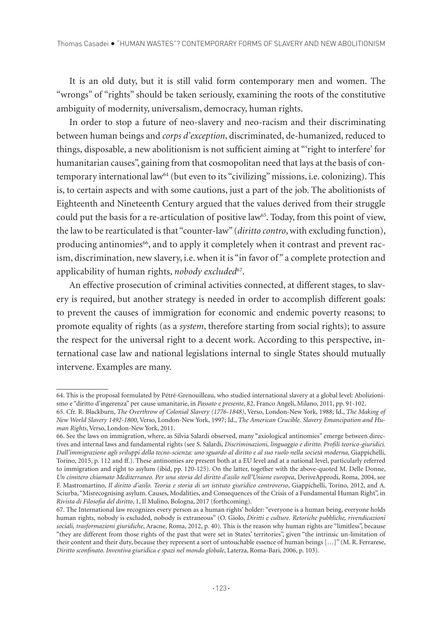It is an old duty, but it is still valid form contemporary men and women. The "wrongs" of "rights" should be taken seriously, examining the roots of the constitutive ambiguity of modernity, universalism, democracy, human rights.

In order to stop a future of neo-slavery and neo-racism and their discriminating between human beings and *corps d'exception*, discriminated, de-humanized, reduced to things, disposable, a new abolitionism is not sufficient aiming at "'right to interfere' for humanitarian causes", gaining from that cosmopolitan need that lays at the basis of contemporary international law64 (but even to its "civilizing" missions, i.e. colonizing). This is, to certain aspects and with some cautions, just a part of the job. The abolitionists of Eighteenth and Nineteenth Century argued that the values derived from their struggle could put the basis for a re-articulation of positive law<sup>65</sup>. Today, from this point of view, the law to be rearticulated is that "counter-law" (*diritto contro*, with excluding function), producing antinomies<sup>66</sup>, and to apply it completely when it contrast and prevent racism, discrimination, new slavery, i.e. when it is "in favor of " a complete protection and applicability of human rights, *nobody excluded*<sup>67</sup>.

An effective prosecution of criminal activities connected, at different stages, to slavery is required, but another strategy is needed in order to accomplish different goals: to prevent the causes of immigration for economic and endemic poverty reasons; to promote equality of rights (as a *system*, therefore starting from social rights); to assure the respect for the universal right to a decent work. According to this perspective, international case law and national legislations internal to single States should mutually intervene. Examples are many.

<sup>64.</sup> This is the proposal formulated by Pétré-Grenouilleau, who studied international slavery at a global level: Abolizionismo e "diritto d'ingerenza" per cause umanitarie, in *Passato e presente*, 82, Franco Angeli, Milano, 2011, pp. 91-102.

<sup>65.</sup> Cfr. R. Blackburn, *The Overthrow of Colonial Slavery (1776-1848)*, Verso, London-New York, 1988; Id., *The Making of New World Slavery 1492-1800*, Verso, London-New York, 1997; Id., *The American Crucible. Slavery Emancipation and Human Rights*, Verso, London-New York, 2011.

<sup>66.</sup> See the laws on immigration, where, as Silvia Salardi observed, many "axiological antinomies" emerge between directives and internal laws and fundamental rights (see S. Salardi, *Discriminazioni, linguaggio e diritto. Profili teorico-giuridici. Dall'immigrazione agli sviluppi della tecno-scienza: uno sguardo al diritto e al suo ruolo nella società moderna*, Giappichelli, Torino, 2015, p. 112 and ff.). These antinomies are present both at a EU level and at a national level, particularly referred to immigration and right to asylum (ibid, pp. 120-125). On the latter, together with the above-quoted M. Delle Donne, *Un cimitero chiamato Mediterraneo. Per una storia del diritto d'asilo nell'Unione europea*, DeriveApprodi, Roma, 2004, see F. Mastromartino, *Il diritto d'asilo. Teoria e storia di un istituto giuridico controverso*, Giappichelli, Torino, 2012, and A. Sciurba, "Misrecognising asylum. Causes, Modalities, and Consequences of the Crisis of a Fundamental Human Right", in *Rivista di Filosofia del diritto*, 1, Il Mulino, Bologna, 2017 (forthcoming).

<sup>67.</sup> The International law recognizes every person as a human rights' holder: "everyone is a human being, everyone holds human rights, nobody is excluded, nobody is extraneous" (O. Giolo, *Diritti e culture. Retoriche pubbliche, rivendicazioni sociali, trasformazioni giuridiche*, Aracne, Roma, 2012, p. 40). This is the reason why human rights are "limitless", because "they are different from those rights of the past that were set in States' territories", given "the intrinsic un-limitation of their content and their duty, because they represent a sort of untouchable essence of human beings […]" (M. R. Ferrarese, *Diritto sconfinato. Inventiva giuridica e spazi nel mondo globale*, Laterza, Roma-Bari, 2006, p. 103).